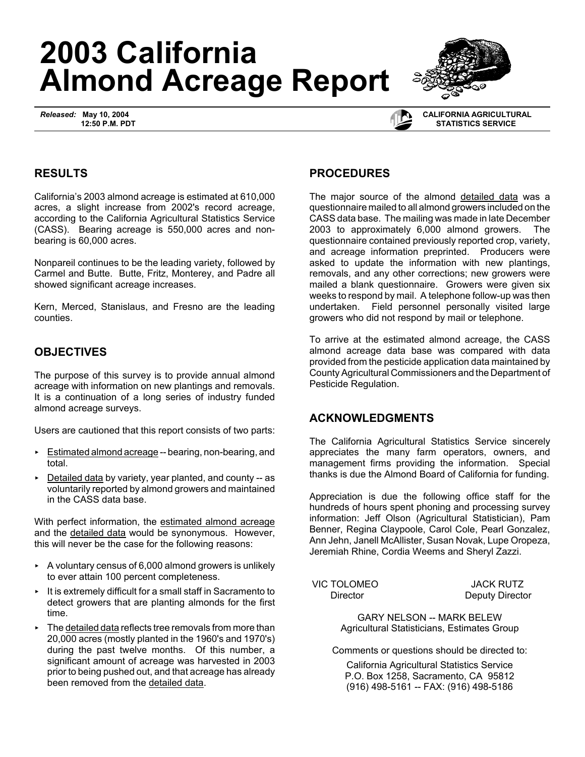# **2003 California Almond Acreage Report**

*Released:* **May 10, 2004 12:50 P.M. PDT**



 **CALIFORNIA AGRICULTURAL STATISTICS SERVICE**

## **RESULTS**

California's 2003 almond acreage is estimated at 610,000 acres, a slight increase from 2002's record acreage, according to the California Agricultural Statistics Service (CASS). Bearing acreage is 550,000 acres and nonbearing is 60,000 acres.

Nonpareil continues to be the leading variety, followed by Carmel and Butte. Butte, Fritz, Monterey, and Padre all showed significant acreage increases.

Kern, Merced, Stanislaus, and Fresno are the leading counties.

# **OBJECTIVES**

The purpose of this survey is to provide annual almond acreage with information on new plantings and removals. It is a continuation of a long series of industry funded almond acreage surveys.

Users are cautioned that this report consists of two parts:

- Estimated almond acreage -- bearing, non-bearing, and total.
- $\triangleright$  Detailed data by variety, year planted, and county -- as voluntarily reported by almond growers and maintained in the CASS data base.

With perfect information, the estimated almond acreage and the detailed data would be synonymous. However, this will never be the case for the following reasons:

- $\sim$  A voluntary census of 6,000 almond growers is unlikely to ever attain 100 percent completeness.
- $\cdot$  It is extremely difficult for a small staff in Sacramento to detect growers that are planting almonds for the first time.
- $\triangleright$  The detailed data reflects tree removals from more than 20,000 acres (mostly planted in the 1960's and 1970's) during the past twelve months. Of this number, a significant amount of acreage was harvested in 2003 prior to being pushed out, and that acreage has already been removed from the detailed data.

## **PROCEDURES**

The major source of the almond detailed data was a questionnaire mailed to all almond growers included on the CASS data base. The mailing was made in late December 2003 to approximately 6,000 almond growers. The questionnaire contained previously reported crop, variety, and acreage information preprinted. Producers were asked to update the information with new plantings, removals, and any other corrections; new growers were mailed a blank questionnaire. Growers were given six weeks to respond by mail. A telephone follow-up was then undertaken. Field personnel personally visited large growers who did not respond by mail or telephone.

To arrive at the estimated almond acreage, the CASS almond acreage data base was compared with data provided from the pesticide application data maintained by County Agricultural Commissioners and the Department of Pesticide Regulation.

### **ACKNOWLEDGMENTS**

The California Agricultural Statistics Service sincerely appreciates the many farm operators, owners, and management firms providing the information. Special thanks is due the Almond Board of California for funding.

Appreciation is due the following office staff for the hundreds of hours spent phoning and processing survey information: Jeff Olson (Agricultural Statistician), Pam Benner, Regina Claypoole, Carol Cole, Pearl Gonzalez, Ann Jehn, Janell McAllister, Susan Novak, Lupe Oropeza, Jeremiah Rhine, Cordia Weems and Sheryl Zazzi.

VIC TOLOMEO JACK RUTZ

Director **Deputy Director** 

GARY NELSON -- MARK BELEW Agricultural Statisticians, Estimates Group

Comments or questions should be directed to:

California Agricultural Statistics Service P.O. Box 1258, Sacramento, CA 95812 (916) 498-5161 -- FAX: (916) 498-5186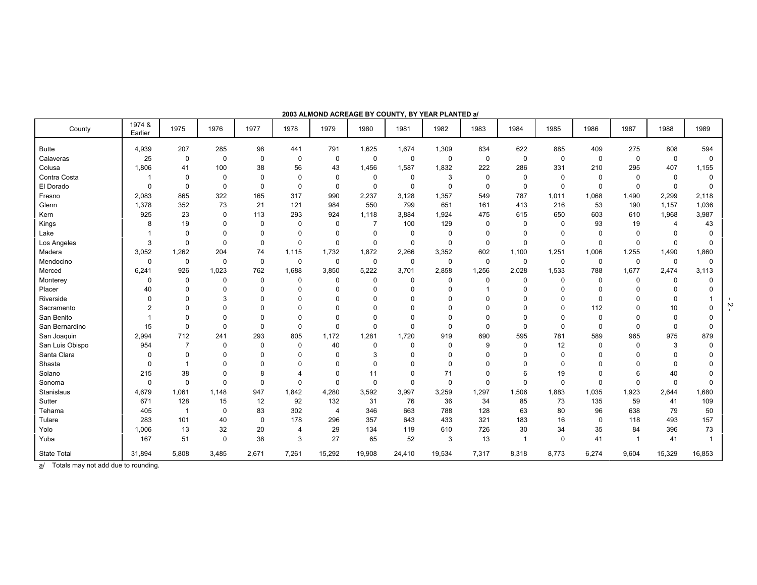| County          | 1974 &<br>Earlier | 1975           | 1976        | 1977        | 1978        | 1979           | 1980           | 1981        | 1982        | 1983        | 1984                    | 1985        | 1986        | 1987        | 1988        | 1989     |
|-----------------|-------------------|----------------|-------------|-------------|-------------|----------------|----------------|-------------|-------------|-------------|-------------------------|-------------|-------------|-------------|-------------|----------|
| Butte           | 4,939             | 207            | 285         | 98          | 441         | 791            | 1,625          | 1,674       | 1,309       | 834         | 622                     | 885         | 409         | 275         | 808         | 594      |
| Calaveras       | 25                | 0              | $\mathbf 0$ | $\pmb{0}$   | 0           | $\mathbf 0$    | $\mathbf 0$    | 0           | 0           | $\mathbf 0$ | $\mathbf 0$             | $\mathbf 0$ | $\mathbf 0$ | $\mathbf 0$ | 0           | 0        |
| Colusa          | 1,806             | 41             | 100         | 38          | 56          | 43             | 1,456          | 1,587       | 1,832       | 222         | 286                     | 331         | 210         | 295         | 407         | 1,155    |
| Contra Costa    |                   | $\mathbf 0$    | $\Omega$    | $\mathbf 0$ | $\mathbf 0$ | $\Omega$       | $\mathbf 0$    | 0           | 3           | $\Omega$    | $\Omega$                | $\Omega$    | 0           | $\Omega$    | $\Omega$    | 0        |
| El Dorado       | $\Omega$          | 0              | $\Omega$    | $\mathbf 0$ | $\mathbf 0$ | $\mathbf 0$    | $\mathbf 0$    | 0           | $\Omega$    | $\mathbf 0$ | $\mathbf 0$             | $\mathbf 0$ | $\mathbf 0$ | $\Omega$    | $\mathbf 0$ | 0        |
| Fresno          | 2,083             | 865            | 322         | 165         | 317         | 990            | 2,237          | 3,128       | 1,357       | 549         | 787                     | 1,011       | 1,068       | 1,490       | 2,299       | 2,118    |
| Glenn           | 1,378             | 352            | 73          | 21          | 121         | 984            | 550            | 799         | 651         | 161         | 413                     | 216         | 53          | 190         | 1,157       | 1,036    |
| Kern            | 925               | 23             | $\mathbf 0$ | 113         | 293         | 924            | 1,118          | 3,884       | 1,924       | 475         | 615                     | 650         | 603         | 610         | 1,968       | 3,987    |
| Kings           | 8                 | 19             | $\Omega$    | $\mathbf 0$ | $\mathbf 0$ | 0              | $\overline{7}$ | 100         | 129         | $\Omega$    | 0                       | $\Omega$    | 93          | 19          | 4           | 43       |
| Lake            |                   | 0              | $\Omega$    | $\mathbf 0$ | 0           | $\Omega$       | $\mathbf 0$    | $\mathbf 0$ | $\Omega$    | $\Omega$    | $\Omega$                | $\Omega$    | $\Omega$    | $\Omega$    | $\Omega$    |          |
| Los Angeles     | 3                 | $\mathbf 0$    | $\Omega$    | $\mathbf 0$ | $\Omega$    | $\Omega$       | $\Omega$       | $\mathbf 0$ | $\Omega$    | $\Omega$    | $\Omega$                | $\Omega$    | $\Omega$    | $\Omega$    | $\Omega$    | $\Omega$ |
| Madera          | 3,052             | 1,262          | 204         | 74          | 1,115       | 1,732          | 1,872          | 2,266       | 3,352       | 602         | 1,100                   | 1,251       | 1,006       | 1,255       | 1,490       | 1,860    |
| Mendocino       | $\mathbf 0$       | $\pmb{0}$      | $\mathbf 0$ | $\mathbf 0$ | $\mathbf 0$ | $\mathbf 0$    | $\mathbf 0$    | $\mathbf 0$ | $\mathbf 0$ | $\mathbf 0$ | $\mathbf 0$             | $\mathbf 0$ | $\mathbf 0$ | $\mathbf 0$ | $\mathbf 0$ | $\Omega$ |
| Merced          | 6,241             | 926            | 1,023       | 762         | 1,688       | 3,850          | 5,222          | 3,701       | 2,858       | 1,256       | 2,028                   | 1,533       | 788         | 1,677       | 2,474       | 3,113    |
| Monterey        | $\mathbf 0$       | 0              | $\Omega$    | $\pmb{0}$   | $\mathbf 0$ | $\mathbf 0$    | $\mathbf 0$    | 0           | $\Omega$    | 0           | $\Omega$                | $\Omega$    | $\Omega$    | $\Omega$    | 0           | n        |
| Placer          | 40                | 0              | $\Omega$    | $\mathbf 0$ | $\mathbf 0$ | $\Omega$       | $\Omega$       | 0           | $\Omega$    |             | $\Omega$                | $\Omega$    | O           | $\Omega$    | $\Omega$    |          |
| Riverside       | $\Omega$          | $\mathbf 0$    | 3           | $\mathbf 0$ | $\Omega$    | $\Omega$       | $\Omega$       | 0           | $\Omega$    | $\Omega$    | $\Omega$                | $\Omega$    | $\Omega$    | $\Omega$    | $\mathbf 0$ |          |
| Sacramento      | $\overline{2}$    | $\mathbf 0$    | $\Omega$    | $\Omega$    | $\Omega$    | $\Omega$       | $\Omega$       | O           | $\Omega$    | $\Omega$    | $\Omega$                | $\Omega$    | 112         | $\Omega$    | 10          |          |
| San Benito      |                   | $\mathbf 0$    | $\Omega$    | $\mathbf 0$ | $\Omega$    | $\Omega$       | $\Omega$       | 0           | $\Omega$    | $\Omega$    | $\Omega$                | $\Omega$    | $\Omega$    | $\Omega$    | $\mathbf 0$ |          |
| San Bernardino  | 15                | $\mathbf 0$    | $\Omega$    | $\mathbf 0$ | $\Omega$    | $\Omega$       | $\Omega$       | $\Omega$    | $\Omega$    | $\Omega$    | $\Omega$                | $\Omega$    | $\mathbf 0$ | $\mathbf 0$ | $\Omega$    | $\Omega$ |
| San Joaquin     | 2,994             | 712            | 241         | 293         | 805         | 1,172          | 1,281          | 1,720       | 919         | 690         | 595                     | 781         | 589         | 965         | 975         | 879      |
| San Luis Obispo | 954               | $\overline{7}$ | $\Omega$    | $\mathbf 0$ | $\Omega$    | 40             | 0              | 0           | $\Omega$    | 9           | 0                       | 12          | $\Omega$    | $\Omega$    | 3           | $\Omega$ |
| Santa Clara     | $\mathbf 0$       | $\mathbf 0$    | $\Omega$    | $\mathbf 0$ | $\Omega$    | $\Omega$       | 3              | 0           | $\Omega$    | $\Omega$    | $\Omega$                | $\Omega$    | O           | $\Omega$    | $\Omega$    |          |
| Shasta          | $\mathbf 0$       | $\mathbf{1}$   | $\Omega$    | $\mathbf 0$ | $\Omega$    | $\Omega$       | $\Omega$       | 0           | $\Omega$    | $\Omega$    | $\Omega$                | 0           |             | $\Omega$    | $\Omega$    |          |
| Solano          | 215               | 38             | $\Omega$    | 8           | 4           | $\Omega$       | 11             | 0           | 71          | $\Omega$    | 6                       | 19          | O           | 6           | 40          |          |
| Sonoma          | $\mathbf 0$       | $\pmb{0}$      | $\Omega$    | $\mathbf 0$ | $\mathbf 0$ | $\Omega$       | $\mathbf 0$    | 0           | $\Omega$    | $\mathbf 0$ | $\Omega$                | $\mathbf 0$ | $\Omega$    | $\mathbf 0$ | $\mathbf 0$ | 0        |
| Stanislaus      | 4,679             | 1,061          | 1,148       | 947         | 1,842       | 4,280          | 3,592          | 3,997       | 3,259       | 1,297       | 1,506                   | 1,883       | 1,035       | 1,923       | 2,644       | 1,680    |
| Sutter          | 671               | 128            | 15          | 12          | 92          | 132            | 31             | 76          | 36          | 34          | 85                      | 73          | 135         | 59          | 41          | 109      |
| Tehama          | 405               | -1             | $\Omega$    | 83          | 302         | $\overline{4}$ | 346            | 663         | 788         | 128         | 63                      | 80          | 96          | 638         | 79          | 50       |
| Tulare          | 283               | 101            | 40          | $\mathbf 0$ | 178         | 296            | 357            | 643         | 433         | 321         | 183                     | 16          | 0           | 118         | 493         | 157      |
| Yolo            | 1,006             | 13             | 32          | 20          | 4           | 29             | 134            | 119         | 610         | 726         | 30                      | 34          | 35          | 84          | 396         | 73       |
| Yuba            | 167               | 51             | $\mathbf 0$ | 38          | 3           | 27             | 65             | 52          | 3           | 13          | $\overline{\mathbf{1}}$ | $\mathbf 0$ | 41          |             | 41          |          |
| State Total     | 31,894            | 5,808          | 3,485       | 2,671       | 7,261       | 15,292         | 19,908         | 24,410      | 19,534      | 7,317       | 8,318                   | 8,773       | 6,274       | 9,604       | 15,329      | 16,853   |

#### **2003 ALMOND ACREAGE BY COUNTY, BY YEAR PLANTED a/**

a/ Totals may not add due to rounding.

 $\overline{z}$  -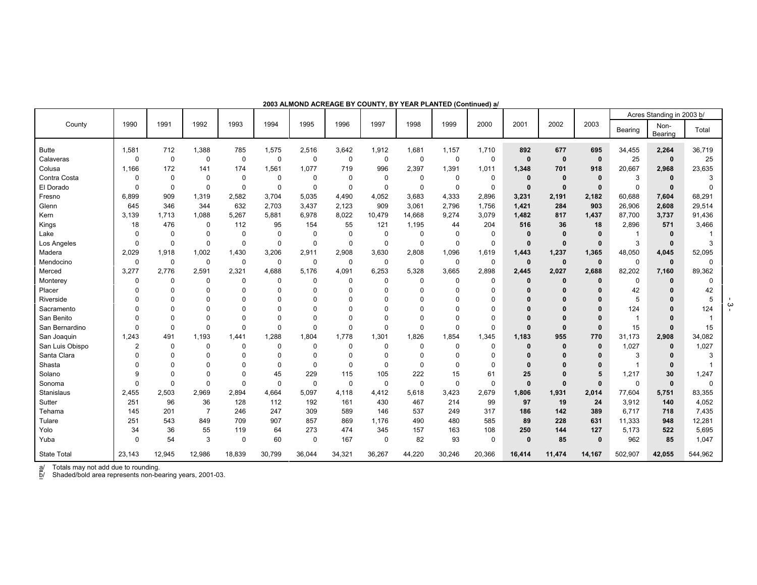|                    |                |             |                |             |             |             |             |             |             |             |             |              |              |              |              | Acres Standing in 2003 b/ |             |
|--------------------|----------------|-------------|----------------|-------------|-------------|-------------|-------------|-------------|-------------|-------------|-------------|--------------|--------------|--------------|--------------|---------------------------|-------------|
| County             | 1990           | 1991        | 1992           | 1993        | 1994        | 1995        | 1996        | 1997        | 1998        | 1999        | 2000        | 2001         | 2002         | 2003         | Bearing      | Non-<br>Bearing           | Total       |
| <b>Butte</b>       | 1,581          | 712         | 1,388          | 785         | 1,575       | 2,516       | 3,642       | 1,912       | 1,681       | 1,157       | 1,710       | 892          | 677          | 695          | 34,455       | 2,264                     | 36,719      |
| Calaveras          | $\mathbf 0$    | $\mathbf 0$ | $\mathbf 0$    | $\mathbf 0$ | $\mathbf 0$ | $\mathbf 0$ | $\mathbf 0$ | $\mathbf 0$ | $\mathbf 0$ | 0           | 0           | $\bf{0}$     | $\mathbf 0$  | $\mathbf 0$  | 25           | $\mathbf 0$               | 25          |
| Colusa             | 1,166          | 172         | 141            | 174         | 1,561       | 1,077       | 719         | 996         | 2,397       | 1,391       | 1,011       | 1,348        | 701          | 918          | 20,667       | 2,968                     | 23,635      |
| Contra Costa       | 0              | $\mathbf 0$ | $\mathbf 0$    | $\mathbf 0$ | $\mathbf 0$ | $\mathbf 0$ | $\mathbf 0$ | $\mathbf 0$ | $\mathbf 0$ | $\mathbf 0$ | $\mathbf 0$ | $\Omega$     | 0            | $\mathbf{0}$ | 3            | $\bf{0}$                  | 3           |
| El Dorado          | $\mathbf 0$    | $\mathbf 0$ | 0              | $\mathbf 0$ | $\mathbf 0$ | $\mathbf 0$ | $\mathbf 0$ | $\mathbf 0$ | $\mathbf 0$ | $\mathbf 0$ | $\mathbf 0$ | $\mathbf 0$  | $\mathbf 0$  | $\mathbf 0$  | $\mathbf 0$  | $\mathbf 0$               | $\Omega$    |
| Fresno             | 6,899          | 909         | 1,319          | 2,582       | 3,704       | 5,035       | 4,490       | 4,052       | 3,683       | 4,333       | 2,896       | 3,231        | 2,191        | 2,182        | 60,688       | 7,604                     | 68,291      |
| Glenn              | 645            | 346         | 344            | 632         | 2,703       | 3,437       | 2,123       | 909         | 3,061       | 2,796       | 1,756       | 1,421        | 284          | 903          | 26,906       | 2,608                     | 29,514      |
| Kern               | 3,139          | 1,713       | 1,088          | 5,267       | 5,881       | 6,978       | 8,022       | 10,479      | 14,668      | 9,274       | 3,079       | 1.482        | 817          | 1,437        | 87,700       | 3,737                     | 91,436      |
| Kings              | 18             | 476         | $\mathbf 0$    | 112         | 95          | 154         | 55          | 121         | 1,195       | 44          | 204         | 516          | 36           | 18           | 2,896        | 571                       | 3,466       |
| Lake               | $\Omega$       | $\mathbf 0$ | $\mathbf 0$    | $\mathbf 0$ | $\mathbf 0$ | $\mathbf 0$ | $\mathbf 0$ | $\Omega$    | $\mathbf 0$ | $\mathbf 0$ | $\mathbf 0$ | $\bf{0}$     | $\Omega$     | $\Omega$     | -1           | 0                         |             |
| Los Angeles        | $\mathbf 0$    | $\mathbf 0$ | $\mathbf 0$    | $\mathbf 0$ | $\mathbf 0$ | $\mathbf 0$ | 0           | $\mathbf 0$ | $\mathbf 0$ | $\mathbf 0$ | 0           | $\mathbf{0}$ | $\mathbf 0$  | $\mathbf 0$  | 3            | $\mathbf{0}$              | 3           |
| Madera             | 2,029          | 1,918       | 1,002          | 1,430       | 3,206       | 2,911       | 2,908       | 3,630       | 2,808       | 1,096       | 1,619       | 1,443        | 1,237        | 1,365        | 48,050       | 4,045                     | 52,095      |
| Mendocino          | $\mathbf 0$    | 0           | $\mathbf 0$    | $\mathbf 0$ | $\mathbf 0$ | 0           | $\mathbf 0$ | $\mathbf 0$ | $\mathbf 0$ | 0           | 0           | $\mathbf 0$  | $\mathbf 0$  | $\mathbf{0}$ | $\mathbf 0$  | $\mathbf 0$               | $\mathbf 0$ |
| Merced             | 3,277          | 2,776       | 2,591          | 2,321       | 4,688       | 5,176       | 4,091       | 6,253       | 5,328       | 3,665       | 2,898       | 2,445        | 2,027        | 2,688        | 82,202       | 7,160                     | 89,362      |
| Monterey           | 0              | 0           | 0              | 0           | 0           | 0           | 0           | 0           | $\mathbf 0$ | $\mathbf 0$ | $\mathbf 0$ | $\bf{0}$     | 0            | $\bf{0}$     | 0            | $\bf{0}$                  | 0           |
| Placer             | $\Omega$       | $\Omega$    | $\Omega$       | $\Omega$    | 0           | 0           | $\Omega$    | $\Omega$    | $\Omega$    | $\Omega$    | 0           |              |              | $\Omega$     | 42           |                           | 42          |
| Riverside          | $\Omega$       | $\Omega$    | $\Omega$       | $\Omega$    | $\Omega$    | $\Omega$    | 0           | $\Omega$    | $\Omega$    | $\Omega$    | $\mathbf 0$ | $\mathbf{0}$ |              | $\Omega$     | 5            |                           | 5           |
| Sacramento         | $\Omega$       | $\Omega$    | 0              | $\Omega$    | 0           | 0           | 0           | $\Omega$    | $\Omega$    | $\Omega$    | 0           | $\Omega$     |              | $\Omega$     | 124          |                           | 124         |
| San Benito         | $\Omega$       | $\Omega$    | $\Omega$       | $\Omega$    | 0           | $\Omega$    | 0           | $\Omega$    | $\Omega$    | $\Omega$    | $\mathbf 0$ | n            |              | $\Omega$     | $\mathbf{1}$ |                           | -1          |
| San Bernardino     | $\Omega$       | $\Omega$    | $\Omega$       | $\Omega$    | $\mathbf 0$ | $\Omega$    | $\Omega$    | $\Omega$    | $\Omega$    | $\Omega$    | $\Omega$    | $\Omega$     | $\mathbf{0}$ | $\mathbf{0}$ | 15           | $\Omega$                  | 15          |
| San Joaquin        | 1,243          | 491         | 1,193          | 1,441       | 1,288       | 1,804       | 1,778       | 1,301       | 1,826       | 1.854       | 1,345       | 1,183        | 955          | 770          | 31,173       | 2,908                     | 34,082      |
| San Luis Obispo    | $\overline{2}$ | 0           | $\Omega$       | 0           | 0           | 0           | 0           | 0           | $\mathbf 0$ | 0           | 0           | $\bf{0}$     | $\mathbf{0}$ | $\mathbf 0$  | 1,027        | $\bf{0}$                  | 1,027       |
| Santa Clara        | $\Omega$       | $\Omega$    | $\Omega$       | $\Omega$    | 0           | $\mathbf 0$ | $\Omega$    | $\Omega$    | $\mathbf 0$ | $\Omega$    | 0           | $\mathbf{0}$ |              | $\bf{0}$     | 3            |                           | 3           |
| Shasta             | $\Omega$       | $\Omega$    | $\Omega$       | $\Omega$    | 0           | $\mathbf 0$ | $\mathbf 0$ | $\mathbf 0$ | $\mathbf 0$ | $\Omega$    | 0           | $\Omega$     |              | $\bf{0}$     | $\mathbf 1$  | $\mathbf{0}$              |             |
| Solano             | <sub>9</sub>   | $\mathbf 0$ | $\Omega$       | $\Omega$    | 45          | 229         | 115         | 105         | 222         | 15          | 61          | 25           |              | 5            | 1,217        | 30                        | 1,247       |
| Sonoma             | $\Omega$       | $\mathbf 0$ | $\Omega$       | $\Omega$    | $\mathbf 0$ | $\mathbf 0$ | $\mathbf 0$ | $\mathbf 0$ | $\mathbf 0$ | $\mathbf 0$ | $\mathbf 0$ | $\mathbf{0}$ | $\mathbf{0}$ | $\mathbf{0}$ | $\mathbf 0$  | $\mathbf{0}$              | $\Omega$    |
| Stanislaus         | 2,455          | 2,503       | 2,969          | 2,894       | 4,664       | 5,097       | 4,118       | 4,412       | 5,618       | 3,423       | 2,679       | 1,806        | 1,931        | 2,014        | 77,604       | 5,751                     | 83,355      |
| Sutter             | 251            | 96          | 36             | 128         | 112         | 192         | 161         | 430         | 467         | 214         | 99          | 97           | 19           | 24           | 3,912        | 140                       | 4,052       |
| Tehama             | 145            | 201         | $\overline{7}$ | 246         | 247         | 309         | 589         | 146         | 537         | 249         | 317         | 186          | 142          | 389          | 6,717        | 718                       | 7,435       |
| Tulare             | 251            | 543         | 849            | 709         | 907         | 857         | 869         | 1,176       | 490         | 480         | 585         | 89           | 228          | 631          | 11,333       | 948                       | 12,281      |
| Yolo               | 34             | 36          | 55             | 119         | 64          | 273         | 474         | 345         | 157         | 163         | 108         | 250          | 144          | 127          | 5,173        | 522                       | 5,695       |
| Yuba               | $\Omega$       | 54          | 3              | $\mathbf 0$ | 60          | 0           | 167         | $\mathbf 0$ | 82          | 93          | $\mathbf 0$ | $\mathbf{0}$ | 85           | $\mathbf{0}$ | 962          | 85                        | 1,047       |
| <b>State Total</b> | 23,143         | 12,945      | 12,986         | 18,839      | 30,799      | 36,044      | 34,321      | 36,267      | 44,220      | 30,246      | 20,366      | 16,414       | 11,474       | 14,167       | 502,907      | 42,055                    | 544,962     |

**2003 ALMOND ACREAGE BY COUNTY, BY YEAR PLANTED (Continued) a/**

a/ Totals may not add due to rounding.

b/ Shaded/bold area represents non-bearing years, 2001-03.

 $\frac{1}{2}$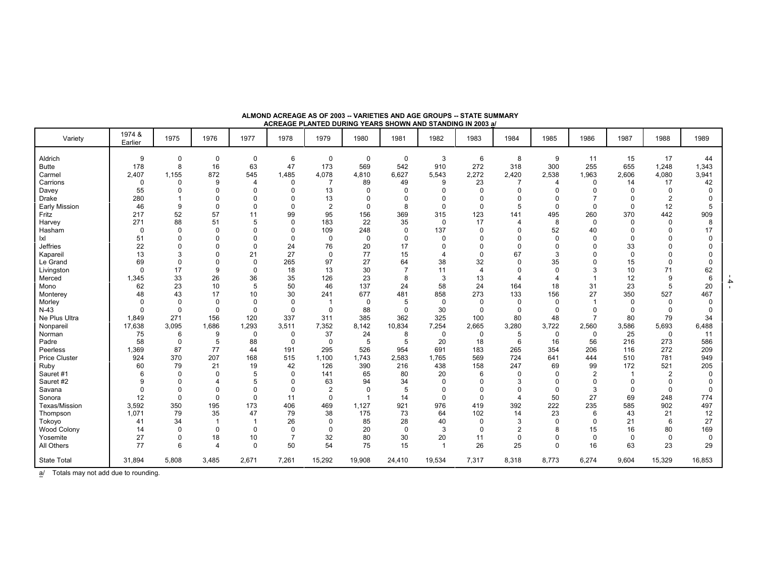| ACREAGE PLANTED DURING YEARS SHOWN AND STANDING IN 2003 a/ |                   |              |                |                          |             |                |                |                |                         |             |                |             |          |          |                |          |
|------------------------------------------------------------|-------------------|--------------|----------------|--------------------------|-------------|----------------|----------------|----------------|-------------------------|-------------|----------------|-------------|----------|----------|----------------|----------|
| Variety                                                    | 1974 &<br>Earlier | 1975         | 1976           | 1977                     | 1978        | 1979           | 1980           | 1981           | 1982                    | 1983        | 1984           | 1985        | 1986     | 1987     | 1988           | 1989     |
| Aldrich                                                    | 9                 | 0            | $\Omega$       | $\mathbf 0$              | 6           | 0              | $\mathbf 0$    | $\mathbf 0$    | 3                       | 6           | 8              | 9           | 11       | 15       | 17             | 44       |
| <b>Butte</b>                                               | 178               | 8            | 16             | 63                       | 47          | 173            | 569            | 542            | 910                     | 272         | 318            | 300         | 255      | 655      | 1,248          | 1,343    |
| Carmel                                                     | 2,407             | 1,155        | 872            | 545                      | 1,485       | 4,078          | 4,810          | 6,627          | 5,543                   | 2,272       | 2,420          | 2,538       | 1,963    | 2,606    | 4,080          | 3,941    |
| Carrions                                                   | $\Omega$          | <sup>0</sup> | <sub>9</sub>   | 4                        | $\Omega$    | $\overline{7}$ | 89             | 49             | 9                       | 23          | 7              | 4           | $\Omega$ | 14       | 17             | 42       |
| Davey                                                      | 55                |              |                | $\Omega$                 |             | 13             | $\Omega$       | $\Omega$       | $\Omega$                | $\mathbf 0$ | $\Omega$       | $\Omega$    | 0        | $\Omega$ | $\Omega$       |          |
| Drake                                                      | 280               |              |                | U                        |             | 13             | $\mathbf 0$    | $\Omega$       | $\mathbf 0$             | $\Omega$    | $\Omega$       | $\Omega$    |          | $\Omega$ | 2              |          |
| <b>Early Mission</b>                                       | 46                | 9            | $\Omega$       | $\Omega$                 | $\Omega$    | $\mathbf{2}$   | $\mathbf 0$    | 8              | $\Omega$                | $\mathbf 0$ | 5              | $\Omega$    | $\Omega$ | $\Omega$ | 12             |          |
| Fritz                                                      | 217               | 52           | 57             | 11                       | 99          | 95             | 156            | 369            | 315                     | 123         | 141            | 495         | 260      | 370      | 442            | 909      |
| Harvey                                                     | 271               | 88           | 51             | 5                        | $\Omega$    | 183            | 22             | 35             | $\mathbf 0$             | 17          | $\overline{4}$ | 8           | $\Omega$ | $\Omega$ | $\Omega$       | 8        |
| Hasham                                                     | $\Omega$          | $\Omega$     | $\Omega$       | <sup>0</sup>             | $\Omega$    | 109            | 248            | $\mathbf 0$    | 137                     | $\mathbf 0$ | $\Omega$       | 52          | 40       | $\Omega$ |                | 17       |
| lxl                                                        | 51                | n            |                | $\Omega$                 | $\Omega$    | 0              | $\mathbf 0$    | $\Omega$       | $\mathbf 0$             | $\Omega$    | $\Omega$       | $\Omega$    | $\Omega$ | $\Omega$ | n              | $\Omega$ |
| <b>Jeffries</b>                                            | 22                |              |                | $\Omega$                 | 24          | 76             | 20             | 17             | $\Omega$                | $\Omega$    | $\Omega$       |             | O        | 33       |                |          |
| Kapareil                                                   | 13                | 3            |                | 21                       | 27          | $\mathbf 0$    | 77             | 15             | 4                       | $\mathbf 0$ | 67             | 3           | 0        | $\Omega$ |                |          |
| Le Grand                                                   | 69                |              |                | $\Omega$                 | 265         | 97             | 27             | 64             | 38                      | 32          | $\Omega$       | 35          | ŋ        | 15       | $\Omega$       |          |
| Livingston                                                 | $\Omega$          | 17           | 9              | $\Omega$                 | 18          | 13             | 30             | $\overline{7}$ | 11                      | 4           | $\Omega$       | $\Omega$    | 3        | 10       | 71             | 62       |
| Merced                                                     | 1,345             | 33           | 26             | 36                       | 35          | 126            | 23             | 8              | 3                       | 13          | $\Delta$       |             |          | 12       | 9              | 6        |
| Mono                                                       | 62                | 23           | 10             | 5                        | 50          | 46             | 137            | 24             | 58                      | 24          | 164            | 18          | 31       | 23       | 5              | 20       |
| Monterey                                                   | 48                | 43           | 17             | 10                       | 30          | 241            | 677            | 481            | 858                     | 273         | 133            | 156         | 27       | 350      | 527            | 467      |
| Morley                                                     |                   | 0            | $\Omega$       | $\Omega$                 | $\Omega$    | -1             | $\mathbf 0$    | 5              | $\mathbf 0$             | $\mathbf 0$ | $\Omega$       | $\Omega$    |          | $\Omega$ | $\Omega$       |          |
| $N-43$                                                     |                   | $\Omega$     | $\Omega$       | $\Omega$                 | $\Omega$    | $\mathbf 0$    | 88             | $\Omega$       | 30                      | $\mathbf 0$ | $\mathbf 0$    | $\Omega$    | $\Omega$ | $\Omega$ | $\Omega$       |          |
| Ne Plus Ultra                                              | 1,849             | 271          | 156            | 120                      | 337         | 311            | 385            | 362            | 325                     | 100         | 80             | 48          |          | 80       | 79             | 34       |
| Nonpareil                                                  | 17,638            | 3,095        | 1,686          | 1,293                    | 3,511       | 7,352          | 8,142          | 10,834         | 7,254                   | 2,665       | 3,280          | 3,722       | 2,560    | 3,586    | 5,693          | 6,488    |
| Norman                                                     | 75                | 6            | 9              | 0                        | $\mathbf 0$ | 37             | 24             | 8              | $\mathbf 0$             | $\mathbf 0$ | 5              | $\mathbf 0$ | $\Omega$ | 25       | 0              | 11       |
| Padre                                                      | 58                | 0            | 5              | 88                       | 0           | $\mathbf 0$    | 5              | 5              | 20                      | 18          | 6              | 16          | 56       | 216      | 273            | 586      |
| Peerless                                                   | 1,369             | 87           | 77             | 44                       | 191         | 295            | 526            | 954            | 691                     | 183         | 265            | 354         | 206      | 116      | 272            | 209      |
| <b>Price Cluster</b>                                       | 924               | 370          | 207            | 168                      | 515         | 1,100          | 1,743          | 2,583          | 1,765                   | 569         | 724            | 641         | 444      | 510      | 781            | 949      |
| Ruby                                                       | 60                | 79           | 21             | 19                       | 42          | 126            | 390            | 216            | 438                     | 158         | 247            | 69          | 99       | 172      | 521            | 205      |
| Sauret #1                                                  |                   | $\Omega$     | $\Omega$       | 5                        | $\Omega$    | 141            | 65             | 80             | 20                      | 6           | 0              | $\Omega$    | 2        |          | $\overline{2}$ |          |
| Sauret #2                                                  |                   |              |                | 5                        |             | 63             | 94             | 34             | $\mathbf 0$             | $\Omega$    | 3              |             | $\Omega$ | $\Omega$ | $\Omega$       |          |
| Savana                                                     |                   | O            |                | $\Omega$                 | $\Omega$    | $\mathbf{2}$   | $\Omega$       | 5              | $\Omega$                | $\Omega$    | $\Omega$       | $\Omega$    | 3        | $\Omega$ | $\Omega$       |          |
| Sonora                                                     | 12                | $\Omega$     | $\Omega$       | $\Omega$                 | 11          | $\mathbf 0$    | $\overline{1}$ | 14             | $\Omega$                | $\mathbf 0$ | $\overline{4}$ | 50          | 27       | 69       | 248            | 774      |
| Texas/Mission                                              | 3,592             | 350          | 195            | 173                      | 406         | 469            | 1,127          | 921            | 976                     | 419         | 392            | 222         | 235      | 585      | 902            | 497      |
| Thompson                                                   | 1,071             | 79           | 35             | 47                       | 79          | 38             | 175            | 73             | 64                      | 102         | 14             | 23          | 6        | 43       | 21             | 12       |
| Tokoyo                                                     | 41                | 34           |                | $\overline{\phantom{a}}$ | 26          | $\Omega$       | 85             | 28             | 40                      | $\mathbf 0$ | 3              | $\Omega$    | 0        | 21       | 6              | 27       |
| Wood Colony                                                | 14                | <sup>0</sup> | $\Omega$       | 0                        | 0           | $\mathbf 0$    | 20             | $\mathbf 0$    | 3                       | $\mathbf 0$ | $\overline{2}$ | 8           | 15       | 16       | 80             | 169      |
| Yosemite                                                   | 27                | $\Omega$     | 18             | 10                       |             | 32             | 80             | 30             | 20                      | 11          | 0              | $\Omega$    | $\Omega$ | $\Omega$ | $\Omega$       | $\Omega$ |
| All Others                                                 | 77                | 6            | $\overline{4}$ | $\Omega$                 | 50          | 54             | 75             | 15             | $\overline{\mathbf{1}}$ | 26          | 25             | $\Omega$    | 16       | 63       | 23             | 29       |
| <b>State Total</b>                                         | 31,894            | 5,808        | 3,485          | 2,671                    | 7,261       | 15,292         | 19,908         | 24,410         | 19,534                  | 7,317       | 8,318          | 8,773       | 6,274    | 9,604    | 15,329         | 16,853   |

**ALMOND ACREAGE AS OF 2003 -- VARIETIES AND AGE GROUPS -- STATE SUMMARY**

a/ Totals may not add due to rounding.

- 4 -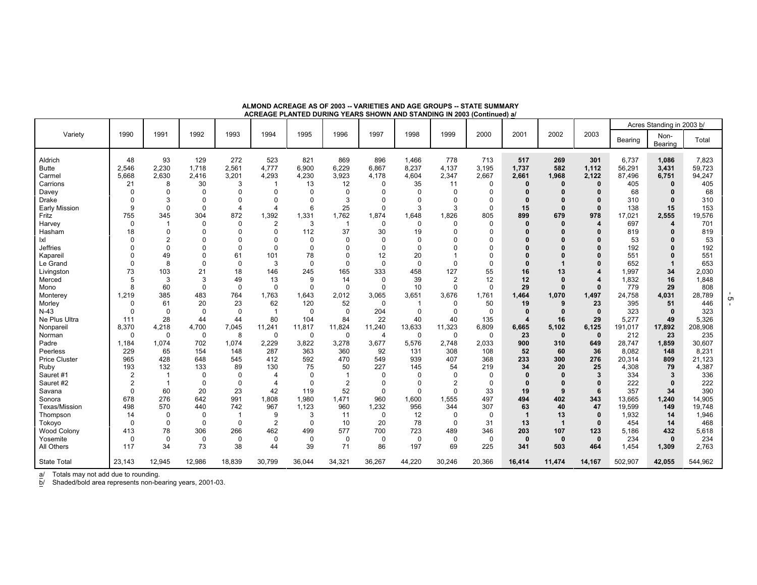|                      |                |                |          |                |                       | AVINEAUE I EARTED DURING TEARO UNURIN AND UTANDING IN 2000 (UURINGU) @ |                |          |             |                |             |                  |              |              |         |                           |         |
|----------------------|----------------|----------------|----------|----------------|-----------------------|------------------------------------------------------------------------|----------------|----------|-------------|----------------|-------------|------------------|--------------|--------------|---------|---------------------------|---------|
|                      |                |                |          |                |                       |                                                                        |                |          |             |                |             |                  |              |              |         | Acres Standing in 2003 b/ |         |
| Variety              | 1990           | 1991           | 1992     | 1993           | 1994                  | 1995                                                                   | 1996           | 1997     | 1998        | 1999           | 2000        | 2001             | 2002         | 2003         | Bearing | Non-<br>Bearing           | Total   |
|                      |                |                |          |                |                       |                                                                        |                |          |             |                |             |                  |              |              |         |                           |         |
| Aldrich              | 48             | 93             | 129      | 272            | 523                   | 821                                                                    | 869            | 896      | 1,466       | 778            | 713         | 517              | 269          | 301          | 6,737   | 1,086                     | 7.823   |
| <b>Butte</b>         | 2.546          | 2,230          | 1,718    | 2,561          | 4,777                 | 6,900                                                                  | 6,229          | 6,867    | 8,237       | 4,137          | 3,195       | 1,737            | 582          | 1,112        | 56,291  | 3,431                     | 59,723  |
| Carmel               | 5,668          | 2,630          | 2,416    | 3,201          | 4,293                 | 4,230                                                                  | 3,923          | 4,178    | 4,604       | 2,347          | 2,667       | 2,661            | 1,968        | 2,122        | 87,496  | 6,751                     | 94,247  |
| Carrions             | 21             | 8              | 30       | 3              |                       | 13                                                                     | 12             | $\Omega$ | 35          | 11             | $\Omega$    | 0                | 0            | $\mathbf{0}$ | 405     | $\Omega$                  | 405     |
| Davey                | $\Omega$       | 0              | $\Omega$ | $\Omega$       | $\Omega$              | $\Omega$                                                               | $\Omega$       |          | $\Omega$    | $\Omega$       | $\Omega$    |                  |              | O            | 68      | $\mathbf{0}$              | 68      |
| <b>Drake</b>         | $\mathbf 0$    | 3              | $\Omega$ | $\Omega$       | $\mathbf 0$           | $\Omega$                                                               | 3              |          | $\Omega$    | $\Omega$       | $\Omega$    |                  |              | $\mathbf{0}$ | 310     | 0                         | 310     |
| <b>Early Mission</b> | 9              | 0              | $\Omega$ | $\overline{4}$ | $\overline{4}$        | 6                                                                      | 25             | $\Omega$ | 3           | 3              | $\Omega$    | 15               |              | $\Omega$     | 138     | 15                        | 153     |
| Fritz                | 755            | 345            | 304      | 872            | 1,392                 | 1,331                                                                  | 1,762          | 1,874    | 1,648       | .826           | 805         | 899              | 679          | 978          | 17,021  | 2,555                     | 19,576  |
| Harvey               | $\mathbf 0$    |                | $\Omega$ | 0              | $\overline{2}$        | 3                                                                      | -1             | $\Omega$ | $\Omega$    | $\Omega$       | $\Omega$    |                  |              | 4            | 697     | 4                         | 701     |
| Hasham               | 18             | $\Omega$       | $\Omega$ | $\Omega$       | $\Omega$              | 112                                                                    | 37             | 30       | 19          | $\Omega$       | $\Omega$    |                  |              |              | 819     |                           | 819     |
| lxl                  | $\Omega$       | $\overline{2}$ |          | 0              | $\mathbf 0$           | $\mathbf 0$                                                            | 0              | $\Omega$ | $\Omega$    | $\Omega$       | $\Omega$    |                  |              |              | 53      |                           | 53      |
| Jeffries             | $\Omega$       | 0              |          | $\mathbf{0}$   | $\mathbf 0$           | $\Omega$                                                               | $\Omega$       | $\Omega$ | $\Omega$    | $\Omega$       | $\Omega$    |                  |              |              | 192     |                           | 192     |
| Kapareil             | $\Omega$       | 49             |          | 61             | 101                   | 78                                                                     | 0              | 12       | 20          |                | $\Omega$    |                  |              |              | 551     | O                         | 551     |
| Le Grand             | $\Omega$       | 8              | $\Omega$ | $\Omega$       | 3                     | $\mathbf 0$                                                            | $\Omega$       | $\Omega$ | $\Omega$    | $\Omega$       | $\Omega$    |                  |              |              | 652     | -1                        | 653     |
| Livingston           | 73             | 103            | 21       | 18             | 146                   | 245                                                                    | 165            | 333      | 458         | 127            | 55          | 16               | 13           | 4            | 1,997   | 34                        | 2,030   |
| Merced               | 5              | 3              | 3        | 49             | 13                    | 9                                                                      | 14             | $\Omega$ | 39          | $\overline{2}$ | 12          | 12               |              |              | 1,832   | 16                        | 1,848   |
| Mono                 | 8              | 60             | $\Omega$ | $\mathbf 0$    | $\mathbf 0$           | $\mathbf 0$                                                            | $\Omega$       | $\Omega$ | 10          | $\mathbf 0$    | $\mathbf 0$ | 29               | 0            | $\Omega$     | 779     | 29                        | 808     |
| Monterey             | 1,219          | 385            | 483      | 764            | 1,763                 | 1,643                                                                  | 2,012          | 3,065    | 3,651       | 3,676          | 1,761       | 1,464            | 1,070        | 1,497        | 24,758  | 4,031                     | 28,789  |
| Morley               | 0              | 61             | 20       | 23             | 62                    | 120                                                                    | 52             | $\Omega$ | -1          | $\Omega$       | 50          | 19               | 9            | 23           | 395     | 51                        | 446     |
| $N-43$               | $\mathbf 0$    | $\mathbf 0$    | $\Omega$ | $\mathbf 0$    | $\overline{1}$        | $\mathbf 0$                                                            | 0              | 204      | $\mathbf 0$ | 0              | 0           | $\mathbf{0}$     | $\mathbf{0}$ | $\mathbf 0$  | 323     | $\mathbf 0$               | 323     |
| Ne Plus Ultra        | 111            | 28             | 44       | 44             | 80                    | 104                                                                    | 84             | 22       | 40          | 40             | 135         | $\boldsymbol{4}$ | 16           | 29           | 5,277   | 49                        | 5.326   |
| Nonparei             | 8,370          | 4,218          | 4,700    | 7,045          | 11,241                | 11,817                                                                 | 11,824         | 11,240   | 13,633      | 11,323         | 6,809       | 6,665            | 5,102        | 6,125        | 191,017 | 17,892                    | 208,908 |
| Norman               | $\mathbf 0$    | $\mathbf 0$    | 0        | 8              | $\mathbf 0$           | 0                                                                      | 0              | 4        | 0           | $\mathbf 0$    | 0           | 23               | $\mathbf 0$  | $\mathbf{0}$ | 212     | 23                        | 235     |
| Padre                | 1,184          | 1,074          | 702      | 1,074          | 2,229                 | 3,822                                                                  | 3,278          | 3,677    | 5,576       | 2,748          | 2,033       | 900              | 310          | 649          | 28,747  | 1,859                     | 30,607  |
| Peerless             | 229            | 65             | 154      | 148            | 287                   | 363                                                                    | 360            | 92       | 131         | 308            | 108         | 52               | 60           | 36           | 8.082   | 148                       | 8,231   |
| <b>Price Cluster</b> | 965            | 428            | 648      | 545            | 412                   | 592                                                                    | 470            | 549      | 939         | 407            | 368         | 233              | 300          | 276          | 20,314  | 809                       | 21,123  |
| Ruby                 | 193            | 132            | 133      | 89             | 130                   | 75                                                                     | 50             | 227      | 145         | 54             | 219         | 34               | 20           | 25           | 4,308   | 79                        | 4,387   |
| Sauret #1            | $\overline{2}$ |                | $\Omega$ | $\Omega$       | $\boldsymbol{\Delta}$ | $\Omega$                                                               | 1              | ∩        | $\Omega$    | $\Omega$       | $\Omega$    |                  |              | 3            | 334     | 3                         | 336     |
| Sauret #2            | $\overline{2}$ | $\overline{1}$ | $\Omega$ | $\Omega$       | $\overline{4}$        | $\mathbf 0$                                                            | $\overline{2}$ | $\Omega$ | $\Omega$    | $\overline{2}$ | $\Omega$    | 0                |              | $\mathbf{0}$ | 222     | $\Omega$                  | 222     |
| Savana               | $\mathbf 0$    | 60             | 20       | 23             | 42                    | 119                                                                    | 52             | $\Omega$ | $\Omega$    | $\Omega$       | 33          | 19               |              | 6            | 357     | 34                        | 390     |
| Sonora               | 678            | 276            | 642      | 991            | 1,808                 | 1,980                                                                  | 1,471          | 960      | 1,600       | 1,555          | 497         | 494              | 402          | 343          | 13,665  | 1,240                     | 14,905  |
| Texas/Mission        | 498            | 570            | 440      | 742            | 967                   | 1,123                                                                  | 960            | 1,232    | 956         | 344            | 307         | 63               | 40           | 47           | 19,599  | 149                       | 19,748  |
| Thompson             | 14             | $\Omega$       | $\Omega$ | $\overline{1}$ | 9                     | 3                                                                      | 11             | $\Omega$ | 12          | $\Omega$       | $\Omega$    | 1                | 13           | $\Omega$     | 1,932   | 14                        | 1,946   |
| Tokoyo               | $\mathbf 0$    | 0              | $\Omega$ | $\Omega$       | $\overline{2}$        | $\Omega$                                                               | 10             | 20       | 78          | $\Omega$       | 31          | 13               | -1           | $\Omega$     | 454     | 14                        | 468     |
| <b>Wood Colony</b>   | 413            | 78             | 306      | 266            | 462                   | 499                                                                    | 577            | 700      | 723         | 489            | 346         | 203              | 107          | 123          | 5,186   | 432                       | 5,618   |
| Yosemite             | 0              | $\mathbf 0$    | $\Omega$ | 0              | $\mathbf 0$           | 0                                                                      | $\Omega$       | $\Omega$ | $\Omega$    | $\mathbf 0$    | $\Omega$    | $\mathbf{0}$     | $\mathbf 0$  | $\mathbf{0}$ | 234     | $\bf{0}$                  | 234     |
| All Others           | 117            | 34             | 73       | 38             | 44                    | 39                                                                     | 71             | 86       | 197         | 69             | 225         | 341              | 503          | 464          | 1,454   | 1,309                     | 2,763   |
| <b>State Total</b>   | 23,143         | 12,945         | 12,986   | 18,839         | 30.799                | 36,044                                                                 | 34,321         | 36,267   | 44,220      | 30,246         | 20,366      | 16,414           | 11,474       | 14,167       | 502,907 | 42,055                    | 544,962 |

**ALMOND ACREAGE AS OF 2003 -- VARIETIES AND AGE GROUPS -- STATE SUMMARY ACREAGE PLANTED DURING YEARS SHOWN AND STANDING IN 2003 (Continued) a/**

a/ Totals may not add due to rounding.

b/ Shaded/bold area represents non-bearing years, 2001-03.

- 5 -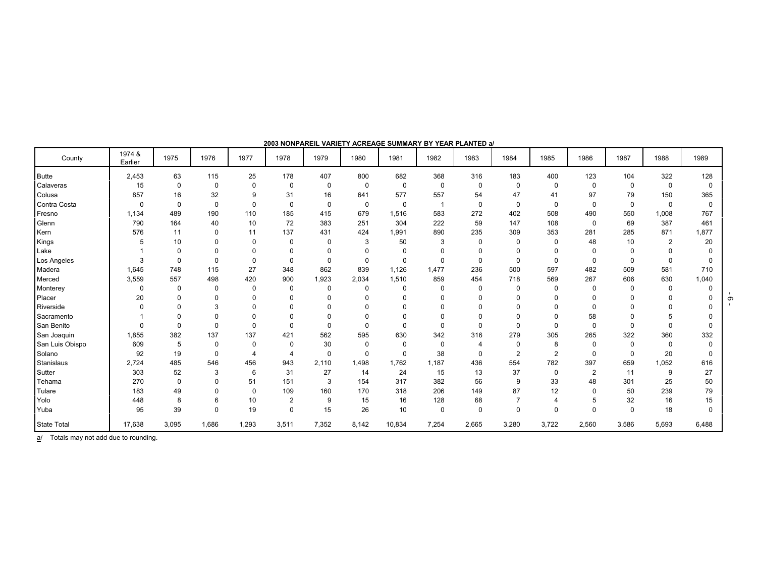| County             | 1974 &<br>Earlier | 1975        | 1976        | 1977        | 1978           | 1979         | 1980        | 1981        | 1982                    | 1983             | 1984           | 1985           | 1986           | 1987         | 1988           | 1989         |
|--------------------|-------------------|-------------|-------------|-------------|----------------|--------------|-------------|-------------|-------------------------|------------------|----------------|----------------|----------------|--------------|----------------|--------------|
| <b>Butte</b>       | 2,453             | 63          | 115         | 25          | 178            | 407          | 800         | 682         | 368                     | 316              | 183            | 400            | 123            | 104          | 322            | 128          |
| Calaveras          | 15                | $\mathbf 0$ | $\mathbf 0$ | $\mathbf 0$ | $\mathbf 0$    | $\mathbf 0$  | $\mathbf 0$ | $\mathbf 0$ | 0                       | $\mathbf 0$      | $\mathbf 0$    | $\mathbf 0$    | $\mathbf 0$    | $\mathbf 0$  | $\mathbf 0$    | $\Omega$     |
| Colusa             | 857               | 16          | 32          | 9           | 31             | 16           | 641         | 577         | 557                     | 54               | 47             | 41             | 97             | 79           | 150            | 365          |
| Contra Costa       | $\mathbf 0$       | $\Omega$    | $\mathbf 0$ | $\mathbf 0$ | $\mathbf 0$    | $\mathbf 0$  | $\mathbf 0$ | $\mathbf 0$ | $\overline{\mathbf{1}}$ | $\mathbf 0$      | $\mathbf 0$    | $\mathbf 0$    | $\mathbf 0$    | $\mathbf 0$  | $\mathbf 0$    | $\mathbf 0$  |
| Fresno             | 1,134             | 489         | 190         | 110         | 185            | 415          | 679         | 1,516       | 583                     | 272              | 402            | 508            | 490            | 550          | 1,008          | 767          |
| Glenn              | 790               | 164         | 40          | 10          | 72             | 383          | 251         | 304         | 222                     | 59               | 147            | 108            | $\mathbf 0$    | 69           | 387            | 461          |
| Kern               | 576               | 11          | $\Omega$    | 11          | 137            | 431          | 424         | 1,991       | 890                     | 235              | 309            | 353            | 281            | 285          | 871            | 1,877        |
| Kings              | 5                 | 10          | $\Omega$    | $\Omega$    | $\Omega$       | 0            | 3           | 50          | 3                       | $\Omega$         | $\mathbf 0$    | 0              | 48             | 10           | $\overline{2}$ | 20           |
| Lake               |                   | $\Omega$    |             | 0           | 0              | $\Omega$     |             | $\mathbf 0$ | 0                       |                  | 0              | $\Omega$       | 0              | $\Omega$     |                |              |
| Los Angeles        | 3                 | $\Omega$    | $\Omega$    | $\Omega$    | $\Omega$       | $\Omega$     | $\Omega$    | $\mathbf 0$ | $\mathbf 0$             | $\Omega$         | $\Omega$       | 0              | $\Omega$       | $\mathbf{0}$ | $\Omega$       |              |
| Madera             | 1,645             | 748         | 115         | 27          | 348            | 862          | 839         | 1,126       | 1,477                   | 236              | 500            | 597            | 482            | 509          | 581            | 710          |
| Merced             | 3,559             | 557         | 498         | 420         | 900            | 1,923        | 2,034       | 1,510       | 859                     | 454              | 718            | 569            | 267            | 606          | 630            | 1,040        |
| Monterey           | 0                 | $\mathbf 0$ | $\Omega$    | $\Omega$    | $\Omega$       | $\mathbf 0$  | $\Omega$    | $\mathbf 0$ | 0                       | $\Omega$         | $\mathbf 0$    | 0              | $\mathbf 0$    | $\mathbf 0$  | $\Omega$       |              |
| Placer             | 20                | $\Omega$    | $\Omega$    | $\Omega$    | 0              | $\mathbf{0}$ | $\Omega$    | $\Omega$    | $\Omega$                | $\Omega$         | 0              | $\Omega$       | $\Omega$       | $\Omega$     | $\Omega$       |              |
| Riverside          | $\Omega$          | $\Omega$    | 3           |             | $\Omega$       | $\Omega$     | $\Omega$    | $\Omega$    | $\Omega$                |                  | 0              | $\Omega$       | $\Omega$       | $\Omega$     |                |              |
| Sacramento         |                   | $\Omega$    | $\Omega$    | 0           | 0              | $\Omega$     | $\Omega$    | $\Omega$    | 0                       |                  | 0              | $\Omega$       | 58             | $\Omega$     | 5              |              |
| San Benito         |                   | $\Omega$    | $\Omega$    | $\Omega$    | $\Omega$       | $\Omega$     | $\Omega$    | $\Omega$    | $\Omega$                | $\Omega$         | $\Omega$       | $\Omega$       | $\mathbf 0$    | $\Omega$     | $\Omega$       | $\Omega$     |
| San Joaquin        | 1,855             | 382         | 137         | 137         | 421            | 562          | 595         | 630         | 342                     | 316              | 279            | 305            | 265            | 322          | 360            | 332          |
| San Luis Obispo    | 609               | 5           | $\Omega$    | $\Omega$    | $\Omega$       | 30           | $\Omega$    | $\mathbf 0$ | 0                       | $\boldsymbol{4}$ | $\mathbf{0}$   | 8              | $\mathbf 0$    | $\Omega$     | $\Omega$       | U            |
| Solano             | 92                | 19          | $\Omega$    | 4           | 4              | $\mathbf 0$  | $\Omega$    | $\mathbf 0$ | 38                      | $\Omega$         | $\overline{2}$ | $\overline{2}$ | $\Omega$       | $\Omega$     | 20             | <sup>0</sup> |
| Stanislaus         | 2,724             | 485         | 546         | 456         | 943            | 2,110        | 1.498       | 1,762       | 1,187                   | 436              | 554            | 782            | 397            | 659          | 1,052          | 616          |
| Sutter             | 303               | 52          | 3           | 6           | 31             | 27           | 14          | 24          | 15                      | 13               | 37             | 0              | $\overline{2}$ | 11           | 9              | 27           |
| Tehama             | 270               | $\mathbf 0$ | $\Omega$    | 51          | 151            | 3            | 154         | 317         | 382                     | 56               | 9              | 33             | 48             | 301          | 25             | 50           |
| Tulare             | 183               | 49          | $\Omega$    | $\Omega$    | 109            | 160          | 170         | 318         | 206                     | 149              | 87             | 12             | $\Omega$       | 50           | 239            | 79           |
| Yolo               | 448               | 8           | 6           | 10          | $\overline{2}$ | 9            | 15          | 16          | 128                     | 68               | $\overline{7}$ | 4              | 5              | 32           | 16             | 15           |
| Yuba               | 95                | 39          | $\Omega$    | 19          | 0              | 15           | 26          | 10          | 0                       | $\mathbf 0$      | $\mathbf 0$    | $\Omega$       | $\Omega$       | $\Omega$     | 18             | $\Omega$     |
| <b>State Total</b> | 17,638            | 3,095       | 1,686       | 1,293       | 3,511          | 7,352        | 8,142       | 10,834      | 7,254                   | 2,665            | 3,280          | 3,722          | 2,560          | 3,586        | 5,693          | 6,488        |

**2003 NONPAREIL VARIETY ACREAGE SUMMARY BY YEAR PLANTED a/**

a/ Totals may not add due to rounding.

 $-9$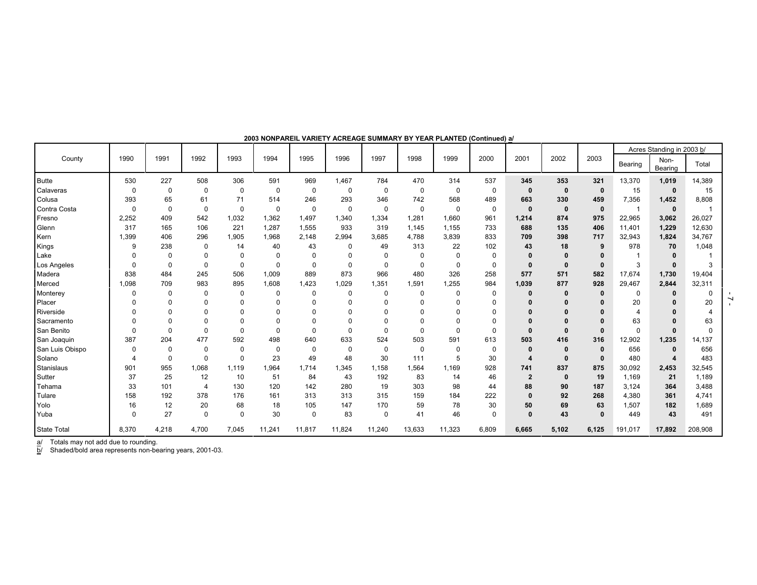|                    |              |             |                |             |             |             |          |          |             |          |       |                |              |              |          |                       | Acres Standing in 2003 b/ |  |
|--------------------|--------------|-------------|----------------|-------------|-------------|-------------|----------|----------|-------------|----------|-------|----------------|--------------|--------------|----------|-----------------------|---------------------------|--|
| County             | 1990         | 1991        | 1992           | 1993        | 1994        | 1995        | 1996     | 1997     | 1998        | 1999     | 2000  | 2001           | 2002         | 2003         | Bearing  | Non-<br>Bearing       | Total                     |  |
| <b>Butte</b>       | 530          | 227         | 508            | 306         | 591         | 969         | 1,467    | 784      | 470         | 314      | 537   | 345            | 353          | 321          | 13,370   | 1,019                 | 14,389                    |  |
| Calaveras          | $\Omega$     | 0           | $\mathbf 0$    | $\mathbf 0$ | $\mathbf 0$ | $\mathbf 0$ | $\Omega$ | $\Omega$ | $\mathbf 0$ | $\Omega$ | 0     | $\mathbf{0}$   | $\mathbf{0}$ | $\mathbf 0$  | 15       | $\mathbf 0$           | 15                        |  |
| Colusa             | 393          | 65          | 61             | 71          | 514         | 246         | 293      | 346      | 742         | 568      | 489   | 663            | 330          | 459          | 7,356    | 1,452                 | 8,808                     |  |
| Contra Costa       | $\Omega$     | $\Omega$    | $\mathbf 0$    | $\Omega$    | 0           | $\mathbf 0$ | $\Omega$ | 0        | $\mathbf 0$ | $\Omega$ | 0     | $\mathbf{0}$   | $\mathbf{0}$ | $\mathbf{0}$ |          | $\mathbf 0$           |                           |  |
| Fresno             | 2,252        | 409         | 542            | 1,032       | 1,362       | 1.497       | 1,340    | 1,334    | 1,281       | 1.660    | 961   | 1,214          | 874          | 975          | 22,965   | 3,062                 | 26,027                    |  |
| Glenn              | 317          | 165         | 106            | 221         | 1.287       | 1,555       | 933      | 319      | 1.145       | 1.155    | 733   | 688            | 135          | 406          | 11,401   | 1,229                 | 12,630                    |  |
| Kern               | 1,399        | 406         | 296            | 1,905       | 1,968       | 2.148       | 2.994    | 3.685    | 4.788       | 3.839    | 833   | 709            | 398          | 717          | 32,943   | 1,824                 | 34,767                    |  |
| Kings              | 9            | 238         | 0              | 14          | 40          | 43          | 0        | 49       | 313         | 22       | 102   | 43             | 18           | 9            | 978      | 70                    | 1,048                     |  |
| Lake               | $\Omega$     | $\Omega$    | $\Omega$       | $\Omega$    | 0           | 0           |          | $\Omega$ | $\mathbf 0$ | $\Omega$ | 0     |                | $\mathbf{0}$ |              |          | $\bf{0}$              |                           |  |
| Los Angeles        | $\Omega$     | $\mathbf 0$ | $\Omega$       | $\mathbf 0$ | $\mathbf 0$ | 0           | $\Omega$ | 0        | $\mathbf 0$ | $\Omega$ | 0     | 0              | $\mathbf{0}$ | $\mathbf{0}$ | 3        | $\bf{0}$              | 3                         |  |
| Madera             | 838          | 484         | 245            | 506         | 1,009       | 889         | 873      | 966      | 480         | 326      | 258   | 577            | 571          | 582          | 17,674   | 1,730                 | 19,404                    |  |
| Merced             | 1,098        | 709         | 983            | 895         | 1,608       | 1,423       | 1,029    | 1,351    | 1,591       | 1,255    | 984   | 1,039          | 877          | 928          | 29,467   | 2,844                 | 32,311                    |  |
| Monterey           | <sup>0</sup> | 0           | $\Omega$       | $\Omega$    | $\Omega$    | 0           |          | $\Omega$ | $\mathbf 0$ | $\Omega$ | 0     |                |              | 0            | 0        | 0                     |                           |  |
| Placer             |              | $\Omega$    | $\Omega$       | $\Omega$    | $\Omega$    | $\Omega$    |          | $\Omega$ | $\Omega$    | $\Omega$ | 0     |                |              |              | 20       |                       | 20                        |  |
| Riverside          |              | $\Omega$    |                | $\Omega$    | $\Omega$    | n           |          | $\Omega$ | $\Omega$    |          | U     |                |              |              |          |                       |                           |  |
| Sacramento         |              |             | 0              |             | $\Omega$    | 0           |          |          | 0           |          |       |                |              |              | 63       |                       | 63                        |  |
| San Benito         | $\Omega$     | $\Omega$    | $\Omega$       | $\Omega$    | $\Omega$    | $\Omega$    | O        | $\Omega$ | $\Omega$    | $\Omega$ | 0     | $\mathbf{0}$   | $\Omega$     |              | $\Omega$ | $\Omega$              |                           |  |
| San Joaquin        | 387          | 204         | 477            | 592         | 498         | 640         | 633      | 524      | 503         | 591      | 613   | 503            | 416          | 316          | 12,902   | 1,235                 | 14,137                    |  |
| San Luis Obispo    | $\Omega$     | $\Omega$    | $\mathbf 0$    | $\mathbf 0$ | $\mathbf 0$ | $\mathbf 0$ | $\Omega$ | 0        | $\mathbf 0$ | $\Omega$ | 0     | 0              | $\bf{0}$     | 0            | 656      | $\mathbf 0$           | 656                       |  |
| Solano             |              | $\Omega$    | $\Omega$       | $\Omega$    | 23          | 49          | 48       | 30       | 111         | 5        | 30    | 4              | $\mathbf{0}$ | $\mathbf{0}$ | 480      | $\boldsymbol{\Delta}$ | 483                       |  |
| Stanislaus         | 901          | 955         | 1,068          | 1,119       | 1.964       | 1.714       | 1,345    | 1,158    | 1,564       | 1.169    | 928   | 741            | 837          | 875          | 30,092   | 2,453                 | 32,545                    |  |
| Sutter             | 37           | 25          | 12             | 10          | 51          | 84          | 43       | 192      | 83          | 14       | 46    | $\overline{2}$ | $\mathbf{0}$ | 19           | 1,169    | 21                    | 1,189                     |  |
| Tehama             | 33           | 101         | $\overline{4}$ | 130         | 120         | 142         | 280      | 19       | 303         | 98       | 44    | 88             | 90           | 187          | 3,124    | 364                   | 3,488                     |  |
| Tulare             | 158          | 192         | 378            | 176         | 161         | 313         | 313      | 315      | 159         | 184      | 222   | $\bf{0}$       | 92           | 268          | 4,380    | 361                   | 4,741                     |  |
| Yolo               | 16           | 12          | 20             | 68          | 18          | 105         | 147      | 170      | 59          | 78       | 30    | 50             | 69           | 63           | 1,507    | 182                   | 1,689                     |  |
| Yuba               | $\Omega$     | 27          | $\Omega$       | $\Omega$    | 30          | $\mathbf 0$ | 83       | 0        | 41          | 46       | 0     | $\mathbf{0}$   | 43           | $\Omega$     | 449      | 43                    | 491                       |  |
| <b>State Total</b> | 8,370        | 4,218       | 4,700          | 7,045       | 11,241      | 11,817      | 11,824   | 11,240   | 13,633      | 11,323   | 6,809 | 6,665          | 5,102        | 6,125        | 191,017  | 17,892                | 208,908                   |  |

#### **2003 NONPAREIL VARIETY ACREAGE SUMMARY BY YEAR PLANTED (Continued) a/**

a/ Totals may not add due to rounding.

b/ Shaded/bold area represents non-bearing years, 2001-03.

 $-7 -$